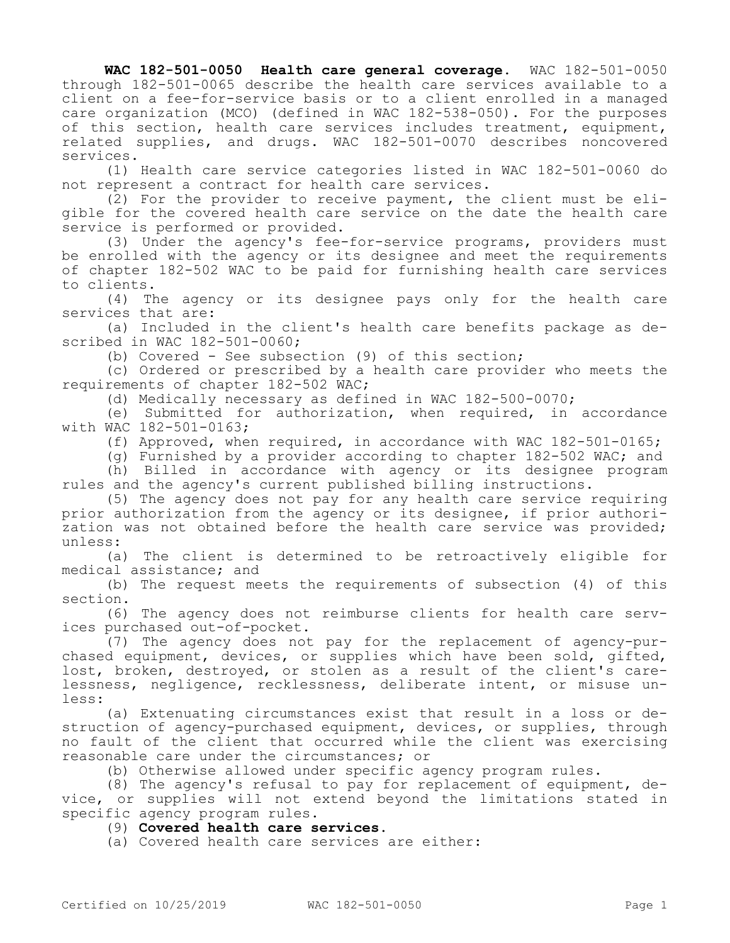**WAC 182-501-0050 Health care general coverage.** WAC 182-501-0050 through 182-501-0065 describe the health care services available to a client on a fee-for-service basis or to a client enrolled in a managed care organization (MCO) (defined in WAC 182-538-050). For the purposes of this section, health care services includes treatment, equipment, related supplies, and drugs. WAC 182-501-0070 describes noncovered services.

(1) Health care service categories listed in WAC 182-501-0060 do not represent a contract for health care services.

(2) For the provider to receive payment, the client must be eligible for the covered health care service on the date the health care service is performed or provided.

(3) Under the agency's fee-for-service programs, providers must be enrolled with the agency or its designee and meet the requirements of chapter 182-502 WAC to be paid for furnishing health care services to clients.

(4) The agency or its designee pays only for the health care services that are:

(a) Included in the client's health care benefits package as described in WAC 182-501-0060;

(b) Covered - See subsection (9) of this section;

(c) Ordered or prescribed by a health care provider who meets the requirements of chapter 182-502 WAC;

(d) Medically necessary as defined in WAC 182-500-0070;

(e) Submitted for authorization, when required, in accordance with WAC 182-501-0163;

(f) Approved, when required, in accordance with WAC 182-501-0165;

(g) Furnished by a provider according to chapter 182-502 WAC; and (h) Billed in accordance with agency or its designee program rules and the agency's current published billing instructions.

(5) The agency does not pay for any health care service requiring prior authorization from the agency or its designee, if prior authorization was not obtained before the health care service was provided; unless:

(a) The client is determined to be retroactively eligible for medical assistance; and

(b) The request meets the requirements of subsection (4) of this section.

(6) The agency does not reimburse clients for health care services purchased out-of-pocket.

(7) The agency does not pay for the replacement of agency-purchased equipment, devices, or supplies which have been sold, gifted, lost, broken, destroyed, or stolen as a result of the client's carelessness, negligence, recklessness, deliberate intent, or misuse unless:

(a) Extenuating circumstances exist that result in a loss or destruction of agency-purchased equipment, devices, or supplies, through no fault of the client that occurred while the client was exercising reasonable care under the circumstances; or

(b) Otherwise allowed under specific agency program rules.

(8) The agency's refusal to pay for replacement of equipment, device, or supplies will not extend beyond the limitations stated in specific agency program rules.

(9) **Covered health care services.**

(a) Covered health care services are either: